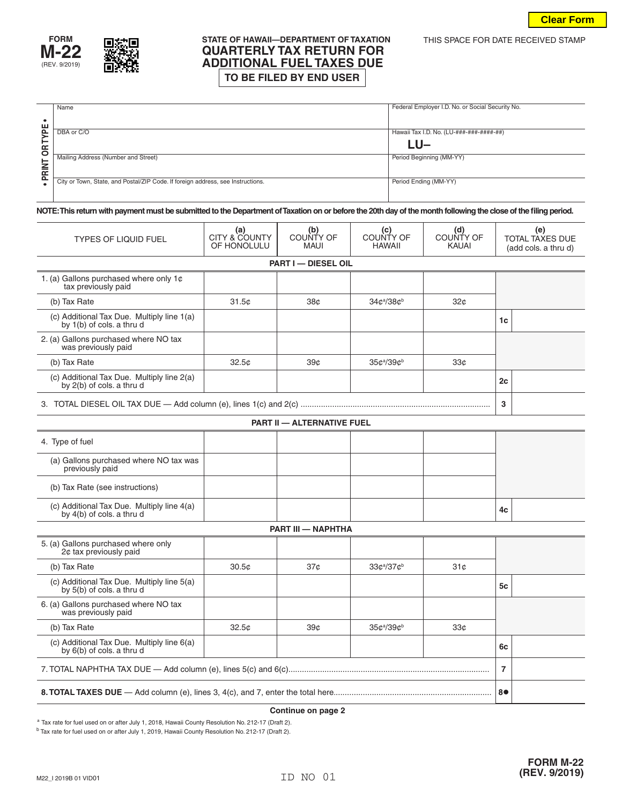

## **STATE OF HAWAII—DEPARTMENT OF TAXATION THIS SPACE FOR DATE RECEIVED STAMP**<br>**QUARTERLY TAX RETURN FOR ADDITIONAL FUEL TAXES DUE**<br>  $\boxed{TO BE FILED BY END USER}$

|                                  | Name                                                                            | Federal Employer I.D. No. or Social Security No. |  |  |
|----------------------------------|---------------------------------------------------------------------------------|--------------------------------------------------|--|--|
| ш<br>௨<br>œ<br>$\circ$<br>–<br>œ |                                                                                 |                                                  |  |  |
|                                  | DBA or C/O                                                                      | Hawaii Tax I.D. No. (LU-###-###-####-##)         |  |  |
|                                  |                                                                                 | LU-                                              |  |  |
|                                  | Mailing Address (Number and Street)                                             | Period Beginning (MM-YY)                         |  |  |
| ௨                                | City or Town, State, and Postal/ZIP Code. If foreign address, see Instructions. | Period Ending (MM-YY)                            |  |  |

**NOTE: This return with payment must be submitted to the Department of Taxation on or before the 20th day of the month following the close of the filing period.**

| <b>TYPES OF LIQUID FUEL</b>                                             | (a)<br>CITY & COUNTY<br>OF HONOLULU | (b)<br>COUNTY OF<br><b>MAUI</b> | (c)<br>COUNTY OF<br><b>HAWAII</b>  | (d)<br>COUNTY OF<br><b>KAUAI</b> | (e)<br><b>TOTAL TAXES DUE</b><br>(add cols. a thru d) |  |  |  |  |
|-------------------------------------------------------------------------|-------------------------------------|---------------------------------|------------------------------------|----------------------------------|-------------------------------------------------------|--|--|--|--|
| <b>PART I - DIESEL OIL</b>                                              |                                     |                                 |                                    |                                  |                                                       |  |  |  |  |
| 1. (a) Gallons purchased where only 1¢<br>tax previously paid           |                                     |                                 |                                    |                                  |                                                       |  |  |  |  |
| (b) Tax Rate                                                            | 31.5c                               | 38¢                             | 34¢ <sup>a</sup> /38¢ <sup>b</sup> | 32 <sub>c</sub>                  |                                                       |  |  |  |  |
| (c) Additional Tax Due. Multiply line 1(a)<br>by 1(b) of cols. a thru d |                                     |                                 |                                    |                                  | 1 <sub>c</sub>                                        |  |  |  |  |
| 2. (a) Gallons purchased where NO tax<br>was previously paid            |                                     |                                 |                                    |                                  |                                                       |  |  |  |  |
| (b) Tax Rate                                                            | 32.5 <sub>c</sub>                   | 39 <sub>c</sub>                 | 35¢ª/39¢b                          | 33 <sub>c</sub>                  |                                                       |  |  |  |  |
| (c) Additional Tax Due. Multiply line 2(a)<br>by 2(b) of cols. a thru d |                                     |                                 |                                    |                                  | 2c                                                    |  |  |  |  |
|                                                                         | 3                                   |                                 |                                    |                                  |                                                       |  |  |  |  |
| <b>PART II - ALTERNATIVE FUEL</b>                                       |                                     |                                 |                                    |                                  |                                                       |  |  |  |  |
| 4. Type of fuel                                                         |                                     |                                 |                                    |                                  |                                                       |  |  |  |  |
| (a) Gallons purchased where NO tax was<br>previously paid               |                                     |                                 |                                    |                                  |                                                       |  |  |  |  |
| (b) Tax Rate (see instructions)                                         |                                     |                                 |                                    |                                  |                                                       |  |  |  |  |
| (c) Additional Tax Due. Multiply line 4(a)<br>by 4(b) of cols. a thru d |                                     |                                 |                                    |                                  | 4c                                                    |  |  |  |  |
| PART III - NAPHTHA                                                      |                                     |                                 |                                    |                                  |                                                       |  |  |  |  |
| 5. (a) Gallons purchased where only<br>2¢ tax previously paid           |                                     |                                 |                                    |                                  |                                                       |  |  |  |  |
| (b) Tax Rate                                                            | 30.5 <sub>c</sub>                   | 37 <sub>c</sub>                 | 33¢ª/37¢b                          | 31 <sub>c</sub>                  |                                                       |  |  |  |  |
| (c) Additional Tax Due. Multiply line 5(a)<br>by 5(b) of cols. a thru d |                                     |                                 |                                    |                                  | 5c                                                    |  |  |  |  |
| 6. (a) Gallons purchased where NO tax<br>was previously paid            |                                     |                                 |                                    |                                  |                                                       |  |  |  |  |
| (b) Tax Rate                                                            | 32.5 <sub>c</sub>                   | 39¢                             | 35¢ª/39¢b                          | 33 <sub>c</sub>                  |                                                       |  |  |  |  |
| (c) Additional Tax Due. Multiply line 6(a)<br>by 6(b) of cols. a thru d |                                     |                                 |                                    |                                  | 6c                                                    |  |  |  |  |
|                                                                         | $\overline{7}$                      |                                 |                                    |                                  |                                                       |  |  |  |  |
|                                                                         | 8●                                  |                                 |                                    |                                  |                                                       |  |  |  |  |

## **Continue on page 2**

<sup>a</sup> Tax rate for fuel used on or after July 1, 2018, Hawaii County Resolution No. 212-17 (Draft 2).

<sup>b</sup> Tax rate for fuel used on or after July 1, 2019, Hawaii County Resolution No. 212-17 (Draft 2).